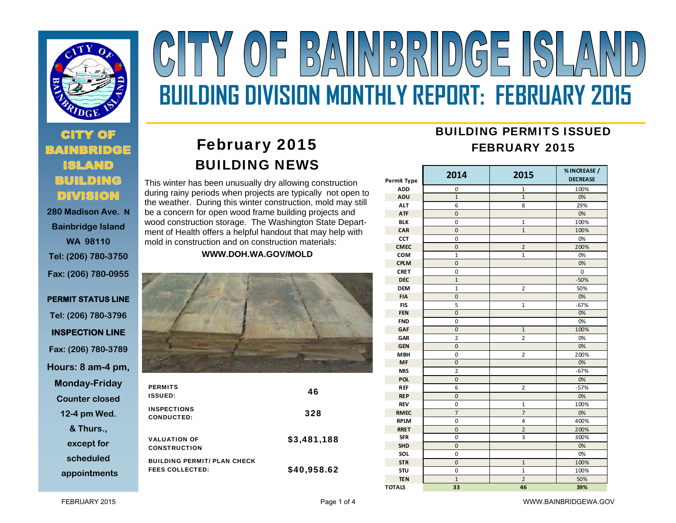

# **280 Madison Ave. N**

**Bainbridge Island WA 98110 Tel: (206) 780-3750 Fax: (206) 780-0955** 

**PERMIT STATUS LINE Tel: (206) 780-3796 INSPECTION LINE Fax: (206) 780-3789 Hours: 8 am-4 pm, Monday-Friday Counter closed 12-4 pm Wed. & Thurs., except for scheduled appointments**

# Y (OF BAINBRID)GE ISLA **BUILDING DIVISION MONTHLY REPORT: FEBRUARY 2015**

# February 2015 BUILDING NEWS

This winter has been unusually dry allowing construction during rainy periods when projects are typically not open to the weather. During this winter construction, mold may still be a concern for open wood frame building projects and wood construction storage. The Washington State Department of Health offers a helpful handout that may help with mold in construction and on construction materials:

**WWW.DOH.WA.GOV/MOLD** 



| <b>PERMITS</b><br><b>ISSUED:</b>                             | 46          |
|--------------------------------------------------------------|-------------|
| <b>INSPECTIONS</b><br><b>CONDUCTED:</b>                      | 328         |
| <b>VALUATION OF</b><br><b>CONSTRUCTION</b>                   | \$3,481,188 |
| <b>BUILDING PERMIT/ PLAN CHECK</b><br><b>FEES COLLECTED:</b> | \$40,958.62 |

## BUILDING PERMITS ISSUEDFEBRUARY 2015

| Permit Type   | 2014           | 2015                    | % INCREASE /<br><b>DECREASE</b> |
|---------------|----------------|-------------------------|---------------------------------|
| <b>ADD</b>    | 0              | 1                       | 100%                            |
| ADU           | $\mathbf{1}$   | $\mathbf{1}$            | 0%                              |
| <b>ALT</b>    | 6              | 8                       | 29%                             |
| <b>ATF</b>    | 0              |                         | 0%                              |
| <b>BLK</b>    | 0              | $\mathbf{1}$            | 100%                            |
| CAR           | $\mathbf 0$    | $\overline{1}$          | 100%                            |
| CCT           | 0              |                         | 0%                              |
| <b>CMEC</b>   | $\overline{0}$ | $\overline{2}$          | 200%                            |
| COM           | $\mathbf{1}$   | $\mathbf{1}$            | 0%                              |
| <b>CPLM</b>   | $\mathbf 0$    |                         | 0%                              |
| <b>CRET</b>   | 0              |                         | $\mathbf 0$                     |
| <b>DEC</b>    | $\mathbf{1}$   |                         | $-50%$                          |
| <b>DEM</b>    | $\mathbf{1}$   | $\overline{2}$          | 50%                             |
| <b>FIA</b>    | 0              |                         | 0%                              |
| <b>FIS</b>    | 5              | 1                       | $-67%$                          |
| <b>FEN</b>    | $\overline{0}$ |                         | 0%                              |
| <b>FND</b>    | 0              |                         | 0%                              |
| GAF           | $\mathbf 0$    | $\overline{1}$          | 100%                            |
| GAR           | 2              | $\overline{2}$          | 0%                              |
| <b>GEN</b>    | $\mathbf 0$    |                         | 0%                              |
| <b>MBH</b>    | 0              | $\overline{2}$          | 200%                            |
| MF            | 0              |                         | 0%                              |
| <b>MIS</b>    | $\overline{2}$ |                         | $-67%$                          |
| <b>POL</b>    | 0              |                         | 0%                              |
| <b>REF</b>    | 6              | $\overline{\mathbf{c}}$ | $-57%$                          |
| <b>REP</b>    | $\mathbf 0$    |                         | 0%                              |
| <b>REV</b>    | 0              | $\overline{1}$          | 100%                            |
| <b>RMEC</b>   | $\overline{7}$ | $\overline{7}$          | 0%                              |
| <b>RPLM</b>   | 0              | 4                       | 400%                            |
| <b>RRET</b>   | $\mathbf 0$    | $\overline{c}$          | 200%                            |
| <b>SFR</b>    | 0              | 3                       | 300%                            |
| <b>SHD</b>    | $\mathbf 0$    |                         | 0%                              |
| SOL           | 0              |                         | 0%                              |
| <b>STR</b>    | 0              | $\mathbf{1}$            | 100%                            |
| STU           | 0              | $\mathbf{1}$            | 100%                            |
| <b>TEN</b>    | $\mathbf{1}$   | $\overline{2}$          | 50%                             |
| <b>TOTALS</b> | 33             | 46                      | 39%                             |

FEBRUARY 2015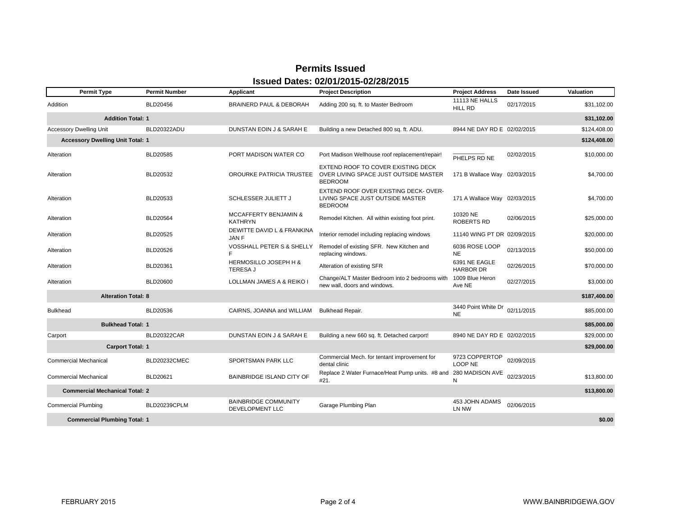### **Permits Issued Issued Dates: 02/01/2015-02/28/2015**

| <b>Permit Type</b>                                   | <b>Permit Number</b> | <b>Applicant</b>                                    | <b>Project Description</b>                                                                    | <b>Project Address</b>            | Date Issued | <b>Valuation</b> |  |
|------------------------------------------------------|----------------------|-----------------------------------------------------|-----------------------------------------------------------------------------------------------|-----------------------------------|-------------|------------------|--|
| Addition                                             | BLD20456             | <b>BRAINERD PAUL &amp; DEBORAH</b>                  | Adding 200 sq. ft. to Master Bedroom                                                          | 11113 NE HALLS<br>HILL RD         | 02/17/2015  | \$31.102.00      |  |
| <b>Addition Total: 1</b><br>\$31,102.00              |                      |                                                     |                                                                                               |                                   |             |                  |  |
| <b>Accessory Dwelling Unit</b>                       | BLD20322ADU          | DUNSTAN EOIN J & SARAH E                            | Building a new Detached 800 sq. ft. ADU.                                                      | 8944 NE DAY RD E 02/02/2015       |             | \$124,408.00     |  |
| <b>Accessory Dwelling Unit Total: 1</b>              |                      |                                                     |                                                                                               |                                   |             | \$124,408.00     |  |
| Alteration                                           | BLD20585             | PORT MADISON WATER CO                               | Port Madison Wellhouse roof replacement/repair!                                               | PHELPS RD NE                      | 02/02/2015  | \$10,000.00      |  |
| Alteration                                           | BLD20532             | OROURKE PATRICIA TRUSTEE                            | EXTEND ROOF TO COVER EXISTING DECK<br>OVER LIVING SPACE JUST OUTSIDE MASTER<br><b>BEDROOM</b> | 171 B Wallace Way 02/03/2015      |             | \$4,700.00       |  |
| Alteration                                           | BLD20533             | SCHLESSER JULIETT J                                 | EXTEND ROOF OVER EXISTING DECK-OVER-<br>LIVING SPACE JUST OUTSIDE MASTER<br><b>BEDROOM</b>    | 171 A Wallace Way 02/03/2015      |             | \$4,700.00       |  |
| Alteration                                           | BLD20564             | <b>MCCAFFERTY BENJAMIN &amp;</b><br><b>KATHRYN</b>  | Remodel Kitchen. All within existing foot print.                                              | 10320 NE<br><b>ROBERTS RD</b>     | 02/06/2015  | \$25,000.00      |  |
| Alteration                                           | BLD20525             | DEWITTE DAVID L & FRANKINA<br>JAN F                 | Interior remodel including replacing windows                                                  | 11140 WING PT DR 02/09/2015       |             | \$20,000.00      |  |
| Alteration                                           | BLD20526             | VOSSHALL PETER S & SHELLY<br>F.                     | Remodel of existing SFR. New Kitchen and<br>replacing windows.                                | 6036 ROSE LOOP<br><b>NE</b>       | 02/13/2015  | \$50,000.00      |  |
| Alteration                                           | BLD20361             | <b>HERMOSILLO JOSEPH H &amp;</b><br><b>TERESA J</b> | Alteration of existing SFR                                                                    | 6391 NE EAGLE<br><b>HARBOR DR</b> | 02/26/2015  | \$70,000.00      |  |
| Alteration                                           | <b>BLD20600</b>      | LOLLMAN JAMES A & REIKO I                           | Change/ALT Master Bedroom into 2 bedrooms with<br>new wall, doors and windows.                | 1009 Blue Heron<br>Ave NE         | 02/27/2015  | \$3,000.00       |  |
| <b>Alteration Total: 8</b><br>\$187,400.00           |                      |                                                     |                                                                                               |                                   |             |                  |  |
| <b>Bulkhead</b>                                      | BLD20536             | CAIRNS, JOANNA and WILLIAM                          | <b>Bulkhead Repair.</b>                                                                       | 3440 Point White Dr<br><b>NE</b>  | 02/11/2015  | \$85,000.00      |  |
| <b>Bulkhead Total: 1</b>                             |                      |                                                     |                                                                                               |                                   |             | \$85,000.00      |  |
| Carport                                              | <b>BLD20322CAR</b>   | DUNSTAN EOIN J & SARAH E                            | Building a new 660 sq. ft. Detached carport!                                                  | 8940 NE DAY RD E 02/02/2015       |             | \$29,000.00      |  |
| <b>Carport Total: 1</b>                              |                      |                                                     |                                                                                               |                                   |             | \$29,000.00      |  |
| <b>Commercial Mechanical</b>                         | BLD20232CMEC         | SPORTSMAN PARK LLC                                  | Commercial Mech. for tentant improvement for<br>dental clinic                                 | 9723 COPPERTOP<br>LOOP NE         | 02/09/2015  |                  |  |
| <b>Commercial Mechanical</b>                         | BLD20621             | <b>BAINBRIDGE ISLAND CITY OF</b>                    | Replace 2 Water Furnace/Heat Pump units. #8 and 280 MADISON AVE<br>#21.                       | N                                 | 02/23/2015  | \$13,800.00      |  |
| <b>Commercial Mechanical Total: 2</b><br>\$13,800.00 |                      |                                                     |                                                                                               |                                   |             |                  |  |
| <b>Commercial Plumbing</b>                           | BLD20239CPLM         | <b>BAINBRIDGE COMMUNITY</b><br>DEVELOPMENT LLC      | Garage Plumbing Plan                                                                          | 453 JOHN ADAMS<br>LN NW           | 02/06/2015  |                  |  |
| <b>Commercial Plumbing Total: 1</b>                  |                      |                                                     |                                                                                               |                                   |             | \$0.00           |  |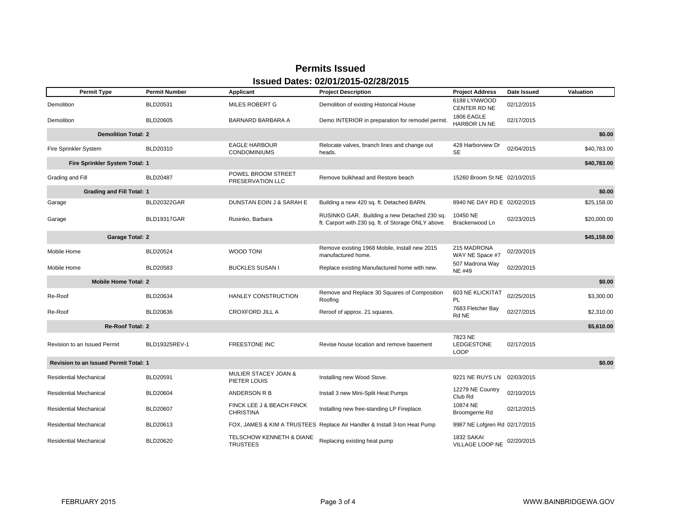#### **Permits Issued Issued Dates: 02/01/2015-02/28/2015**

| <b>Permit Type</b>                                     | <b>Permit Number</b> | Applicant                                       | <b>Project Description</b>                                                                          | <b>Project Address</b>                      | Date Issued | <b>Valuation</b> |  |  |
|--------------------------------------------------------|----------------------|-------------------------------------------------|-----------------------------------------------------------------------------------------------------|---------------------------------------------|-------------|------------------|--|--|
| Demolition                                             | BLD20531             | MILES ROBERT G                                  | Demolition of existing Historical House                                                             | 6188 LYNWOOD<br>CENTER RD NE                | 02/12/2015  |                  |  |  |
| Demolition                                             | <b>BLD20605</b>      | <b>BARNARD BARBARA A</b>                        | Demo INTERIOR in preparation for remodel permit.                                                    | 1806 EAGLE<br>HARBOR LN NE                  | 02/17/2015  |                  |  |  |
| <b>Demolition Total: 2</b>                             |                      |                                                 |                                                                                                     |                                             |             | \$0.00           |  |  |
| Fire Sprinkler System                                  | BLD20310             | <b>EAGLE HARBOUR</b><br><b>CONDOMINIUMS</b>     | Relocate valves, branch lines and change out<br>heads.                                              | 428 Harborview Dr<br><b>SE</b>              | 02/04/2015  | \$40,783.00      |  |  |
| Fire Sprinkler System Total: 1                         |                      |                                                 |                                                                                                     |                                             |             | \$40,783.00      |  |  |
| Grading and Fill                                       | <b>BLD20487</b>      | POWEL BROOM STREET<br>PRESERVATION LLC          | Remove bulkhead and Restore beach                                                                   | 15260 Broom St NE 02/10/2015                |             |                  |  |  |
| <b>Grading and Fill Total: 1</b>                       |                      |                                                 |                                                                                                     |                                             |             | \$0.00           |  |  |
| Garage                                                 | <b>BLD20322GAR</b>   | DUNSTAN EOIN J & SARAH E                        | Building a new 420 sq. ft. Detached BARN.                                                           | 8940 NE DAY RD E 02/02/2015                 |             | \$25,158.00      |  |  |
| Garage                                                 | BLD19317GAR          | Rusinko, Barbara                                | RUSINKO GAR. Building a new Detached 230 sq.<br>ft. Carport with 230 sq. ft. of Storage ONLY above. | 10450 NE<br>Brackenwood Ln                  | 02/23/2015  | \$20,000.00      |  |  |
| <b>Garage Total: 2</b>                                 |                      |                                                 |                                                                                                     |                                             |             | \$45,158.00      |  |  |
| Mobile Home                                            | <b>BLD20524</b>      | <b>WOOD TONI</b>                                | Remove existing 1968 Mobile, Install new 2015<br>manufactured home.                                 | 215 MADRONA<br>WAY NE Space #7              | 02/20/2015  |                  |  |  |
| Mobile Home                                            | BLD20583             | <b>BUCKLES SUSAN I</b>                          | Replace existing Manufactured home with new.                                                        | 507 Madrona Way<br><b>NE#49</b>             | 02/20/2015  |                  |  |  |
| <b>Mobile Home Total: 2</b>                            |                      |                                                 |                                                                                                     |                                             |             | \$0.00           |  |  |
| Re-Roof                                                | BLD20634             | <b>HANLEY CONSTRUCTION</b>                      | Remove and Replace 30 Squares of Composition<br>Roofing                                             | 603 NE KLICKITAT<br>PL                      | 02/25/2015  | \$3,300.00       |  |  |
| Re-Roof                                                | <b>BLD20636</b>      | <b>CROXFORD JILL A</b>                          | Reroof of approx. 21 squares.                                                                       | 7683 Fletcher Bay<br>Rd NE                  | 02/27/2015  | \$2,310.00       |  |  |
| <b>Re-Roof Total: 2</b><br>\$5,610.00                  |                      |                                                 |                                                                                                     |                                             |             |                  |  |  |
| Revision to an Issued Permit                           | BLD19325REV-1        | <b>FREESTONE INC</b>                            | Revise house location and remove basement                                                           | 7823 NE<br><b>LEDGESTONE</b><br><b>LOOP</b> | 02/17/2015  |                  |  |  |
| <b>Revision to an Issued Permit Total: 1</b><br>\$0.00 |                      |                                                 |                                                                                                     |                                             |             |                  |  |  |
| <b>Residential Mechanical</b>                          | BLD20591             | <b>MULIER STACEY JOAN &amp;</b><br>PIETER LOUIS | Installing new Wood Stove.                                                                          | 9221 NE RUYS LN                             | 02/03/2015  |                  |  |  |
| <b>Residential Mechanical</b>                          | <b>BLD20604</b>      | ANDERSON R B                                    | Install 3 new Mini-Split Heat Pumps                                                                 | 12279 NE Country<br>Club Rd                 | 02/10/2015  |                  |  |  |
| <b>Residential Mechanical</b>                          | <b>BLD20607</b>      | FINCK LEE J & BEACH FINCK<br><b>CHRISTINA</b>   | Installing new free-standing LP Fireplace.                                                          | 10874 NE<br>Broomgerrie Rd                  | 02/12/2015  |                  |  |  |
| <b>Residential Mechanical</b>                          | BLD20613             |                                                 | FOX, JAMES & KIM A TRUSTEES Replace Air Handler & Install 3-ton Heat Pump                           | 9987 NE Lofgren Rd 02/17/2015               |             |                  |  |  |
| <b>Residential Mechanical</b>                          | BLD20620             | TELSCHOW KENNETH & DIANE<br><b>TRUSTEES</b>     | Replacing existing heat pump                                                                        | 1832 SAKAI<br>VILLAGE LOOP NE               | 02/20/2015  |                  |  |  |